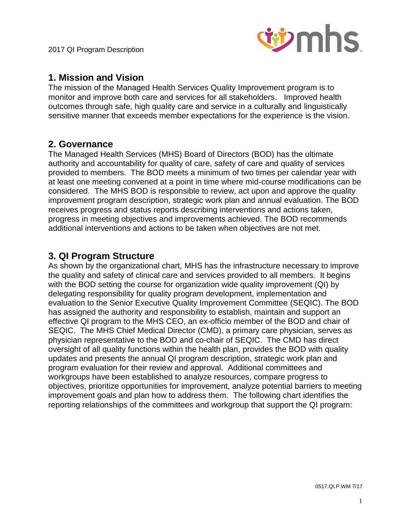

# **1. Mission and Vision**

The mission of the Managed Health Services Quality Improvement program is to monitor and improve both care and services for all stakeholders. Improved health outcomes through safe, high quality care and service in a culturally and linguistically sensitive manner that exceeds member expectations for the experience is the vision.

# **2. Governance**

The Managed Health Services (MHS) Board of Directors (BOD) has the ultimate authority and accountability for quality of care, safety of care and quality of services provided to members. The BOD meets a minimum of two times per calendar year with at least one meeting convened at a point in time where mid-course modifications can be considered. The MHS BOD is responsible to review, act upon and approve the quality improvement program description, strategic work plan and annual evaluation. The BOD receives progress and status reports describing interventions and actions taken, progress in meeting objectives and improvements achieved. The BOD recommends additional interventions and actions to be taken when objectives are not met.

# **3. QI Program Structure**

As shown by the organizational chart, MHS has the infrastructure necessary to improve the quality and safety of clinical care and services provided to all members. It begins with the BOD setting the course for organization wide quality improvement (QI) by delegating responsibility for quality program development, implementation and evaluation to the Senior Executive Quality Improvement Committee (SEQIC). The BOD has assigned the authority and responsibility to establish, maintain and support an effective QI program to the MHS CEO, an ex-officio member of the BOD and chair of SEQIC. The MHS Chief Medical Director (CMD), a primary care physician, serves as physician representative to the BOD and co-chair of SEQIC. The CMD has direct oversight of all quality functions within the health plan, provides the BOD with quality updates and presents the annual QI program description, strategic work plan and program evaluation for their review and approval. Additional committees and workgroups have been established to analyze resources, compare progress to objectives, prioritize opportunities for improvement, analyze potential barriers to meeting improvement goals and plan how to address them. The following chart identifies the reporting relationships of the committees and workgroup that support the QI program: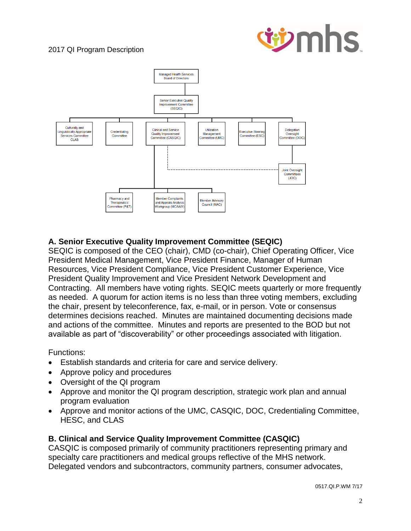



## **A. Senior Executive Quality Improvement Committee (SEQIC)**

SEQIC is composed of the CEO (chair), CMD (co-chair), Chief Operating Officer, Vice President Medical Management, Vice President Finance, Manager of Human Resources, Vice President Compliance, Vice President Customer Experience, Vice President Quality Improvement and Vice President Network Development and Contracting. All members have voting rights. SEQIC meets quarterly or more frequently as needed. A quorum for action items is no less than three voting members, excluding the chair, present by teleconference, fax, e-mail, or in person. Vote or consensus determines decisions reached. Minutes are maintained documenting decisions made and actions of the committee. Minutes and reports are presented to the BOD but not available as part of "discoverability" or other proceedings associated with litigation.

Functions:

- Establish standards and criteria for care and service delivery.
- Approve policy and procedures
- Oversight of the QI program
- Approve and monitor the QI program description, strategic work plan and annual program evaluation
- Approve and monitor actions of the UMC, CASQIC, DOC, Credentialing Committee, HESC, and CLAS

## **B. Clinical and Service Quality Improvement Committee (CASQIC)**

CASQIC is composed primarily of community practitioners representing primary and specialty care practitioners and medical groups reflective of the MHS network. Delegated vendors and subcontractors, community partners, consumer advocates,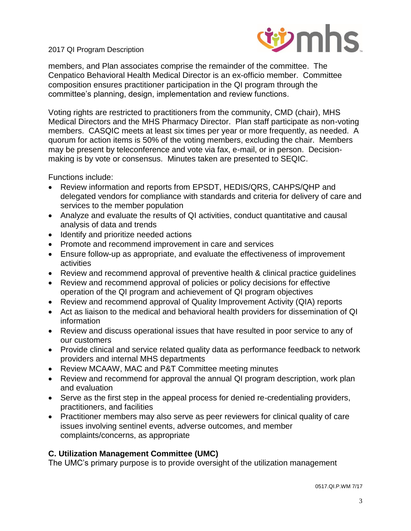

members, and Plan associates comprise the remainder of the committee. The Cenpatico Behavioral Health Medical Director is an ex-officio member. Committee composition ensures practitioner participation in the QI program through the committee's planning, design, implementation and review functions.

Voting rights are restricted to practitioners from the community, CMD (chair), MHS Medical Directors and the MHS Pharmacy Director. Plan staff participate as non-voting members. CASQIC meets at least six times per year or more frequently, as needed. A quorum for action items is 50% of the voting members, excluding the chair. Members may be present by teleconference and vote via fax, e-mail, or in person. Decisionmaking is by vote or consensus. Minutes taken are presented to SEQIC.

Functions include:

- Review information and reports from EPSDT, HEDIS/QRS, CAHPS/QHP and delegated vendors for compliance with standards and criteria for delivery of care and services to the member population
- Analyze and evaluate the results of QI activities, conduct quantitative and causal analysis of data and trends
- Identify and prioritize needed actions
- Promote and recommend improvement in care and services
- Ensure follow-up as appropriate, and evaluate the effectiveness of improvement activities
- Review and recommend approval of preventive health & clinical practice guidelines
- Review and recommend approval of policies or policy decisions for effective operation of the QI program and achievement of QI program objectives
- Review and recommend approval of Quality Improvement Activity (QIA) reports
- Act as liaison to the medical and behavioral health providers for dissemination of QI information
- Review and discuss operational issues that have resulted in poor service to any of our customers
- Provide clinical and service related quality data as performance feedback to network providers and internal MHS departments
- Review MCAAW, MAC and P&T Committee meeting minutes
- Review and recommend for approval the annual QI program description, work plan and evaluation
- Serve as the first step in the appeal process for denied re-credentialing providers, practitioners, and facilities
- Practitioner members may also serve as peer reviewers for clinical quality of care issues involving sentinel events, adverse outcomes, and member complaints/concerns, as appropriate

#### **C. Utilization Management Committee (UMC)**

The UMC's primary purpose is to provide oversight of the utilization management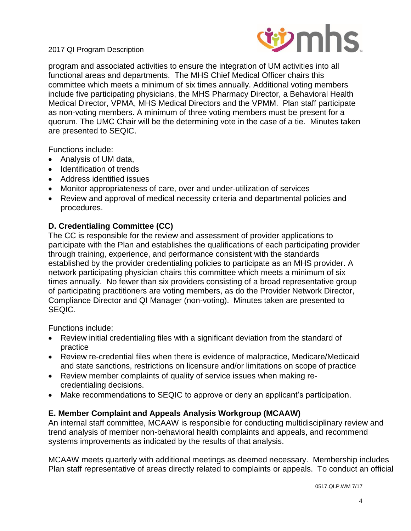

program and associated activities to ensure the integration of UM activities into all functional areas and departments. The MHS Chief Medical Officer chairs this committee which meets a minimum of six times annually. Additional voting members include five participating physicians, the MHS Pharmacy Director, a Behavioral Health Medical Director, VPMA, MHS Medical Directors and the VPMM. Plan staff participate as non-voting members. A minimum of three voting members must be present for a quorum. The UMC Chair will be the determining vote in the case of a tie. Minutes taken are presented to SEQIC.

Functions include:

- Analysis of UM data,
- Identification of trends
- Address identified issues
- Monitor appropriateness of care, over and under-utilization of services
- Review and approval of medical necessity criteria and departmental policies and procedures.

## **D. Credentialing Committee (CC)**

The CC is responsible for the review and assessment of provider applications to participate with the Plan and establishes the qualifications of each participating provider through training, experience, and performance consistent with the standards established by the provider credentialing policies to participate as an MHS provider. A network participating physician chairs this committee which meets a minimum of six times annually. No fewer than six providers consisting of a broad representative group of participating practitioners are voting members, as do the Provider Network Director, Compliance Director and QI Manager (non-voting). Minutes taken are presented to SEQIC.

Functions include:

- Review initial credentialing files with a significant deviation from the standard of practice
- Review re-credential files when there is evidence of malpractice, Medicare/Medicaid and state sanctions, restrictions on licensure and/or limitations on scope of practice
- Review member complaints of quality of service issues when making recredentialing decisions.
- Make recommendations to SEQIC to approve or deny an applicant's participation.

## **E. Member Complaint and Appeals Analysis Workgroup (MCAAW)**

An internal staff committee, MCAAW is responsible for conducting multidisciplinary review and trend analysis of member non-behavioral health complaints and appeals, and recommend systems improvements as indicated by the results of that analysis.

MCAAW meets quarterly with additional meetings as deemed necessary. Membership includes Plan staff representative of areas directly related to complaints or appeals. To conduct an official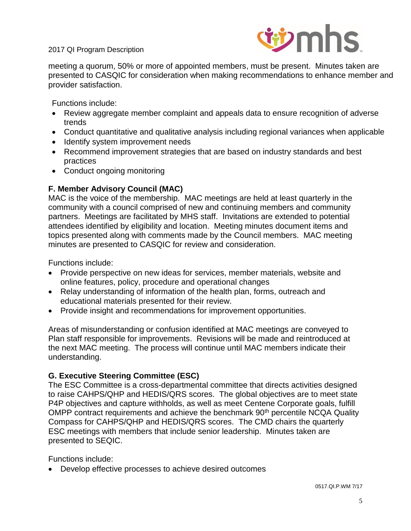

meeting a quorum, 50% or more of appointed members, must be present. Minutes taken are presented to CASQIC for consideration when making recommendations to enhance member and provider satisfaction.

Functions include:

- Review aggregate member complaint and appeals data to ensure recognition of adverse trends
- Conduct quantitative and qualitative analysis including regional variances when applicable
- Identify system improvement needs
- Recommend improvement strategies that are based on industry standards and best practices
- Conduct ongoing monitoring

## **F. Member Advisory Council (MAC)**

MAC is the voice of the membership. MAC meetings are held at least quarterly in the community with a council comprised of new and continuing members and community partners. Meetings are facilitated by MHS staff. Invitations are extended to potential attendees identified by eligibility and location. Meeting minutes document items and topics presented along with comments made by the Council members. MAC meeting minutes are presented to CASQIC for review and consideration.

Functions include:

- Provide perspective on new ideas for services, member materials, website and online features, policy, procedure and operational changes
- Relay understanding of information of the health plan, forms, outreach and educational materials presented for their review.
- Provide insight and recommendations for improvement opportunities.

Areas of misunderstanding or confusion identified at MAC meetings are conveyed to Plan staff responsible for improvements. Revisions will be made and reintroduced at the next MAC meeting. The process will continue until MAC members indicate their understanding.

## **G. Executive Steering Committee (ESC)**

The ESC Committee is a cross-departmental committee that directs activities designed to raise CAHPS/QHP and HEDIS/QRS scores. The global objectives are to meet state P4P objectives and capture withholds, as well as meet Centene Corporate goals, fulfill OMPP contract requirements and achieve the benchmark 90<sup>th</sup> percentile NCQA Quality Compass for CAHPS/QHP and HEDIS/QRS scores. The CMD chairs the quarterly ESC meetings with members that include senior leadership. Minutes taken are presented to SEQIC.

Functions include:

Develop effective processes to achieve desired outcomes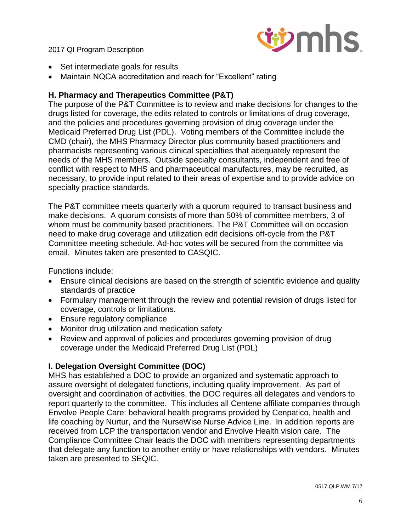

- Set intermediate goals for results
- Maintain NQCA accreditation and reach for "Excellent" rating

#### **H. Pharmacy and Therapeutics Committee (P&T)**

The purpose of the P&T Committee is to review and make decisions for changes to the drugs listed for coverage, the edits related to controls or limitations of drug coverage, and the policies and procedures governing provision of drug coverage under the Medicaid Preferred Drug List (PDL). Voting members of the Committee include the CMD (chair), the MHS Pharmacy Director plus community based practitioners and pharmacists representing various clinical specialties that adequately represent the needs of the MHS members. Outside specialty consultants, independent and free of conflict with respect to MHS and pharmaceutical manufactures, may be recruited, as necessary, to provide input related to their areas of expertise and to provide advice on specialty practice standards.

The P&T committee meets quarterly with a quorum required to transact business and make decisions. A quorum consists of more than 50% of committee members, 3 of whom must be community based practitioners. The P&T Committee will on occasion need to make drug coverage and utilization edit decisions off-cycle from the P&T Committee meeting schedule. Ad-hoc votes will be secured from the committee via email. Minutes taken are presented to CASQIC.

Functions include:

- Ensure clinical decisions are based on the strength of scientific evidence and quality standards of practice
- Formulary management through the review and potential revision of drugs listed for coverage, controls or limitations.
- Ensure regulatory compliance
- Monitor drug utilization and medication safety
- Review and approval of policies and procedures governing provision of drug coverage under the Medicaid Preferred Drug List (PDL)

## **I. Delegation Oversight Committee (DOC)**

MHS has established a DOC to provide an organized and systematic approach to assure oversight of delegated functions, including quality improvement. As part of oversight and coordination of activities, the DOC requires all delegates and vendors to report quarterly to the committee. This includes all Centene affiliate companies through Envolve People Care: behavioral health programs provided by Cenpatico, health and life coaching by Nurtur, and the NurseWise Nurse Advice Line. In addition reports are received from LCP the transportation vendor and Envolve Health vision care. The Compliance Committee Chair leads the DOC with members representing departments that delegate any function to another entity or have relationships with vendors. Minutes taken are presented to SEQIC.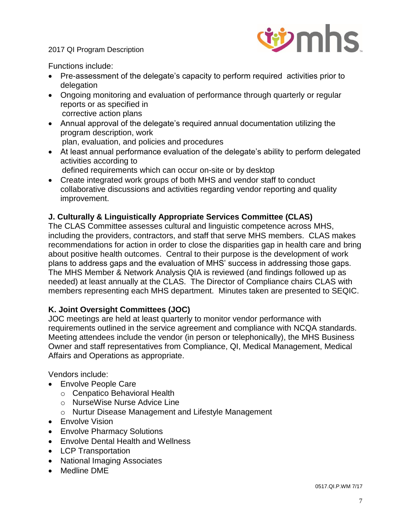

Functions include:

- Pre-assessment of the delegate's capacity to perform required activities prior to delegation
- Ongoing monitoring and evaluation of performance through quarterly or regular reports or as specified in corrective action plans
- Annual approval of the delegate's required annual documentation utilizing the program description, work plan, evaluation, and policies and procedures
- At least annual performance evaluation of the delegate's ability to perform delegated activities according to
	- defined requirements which can occur on-site or by desktop
- Create integrated work groups of both MHS and vendor staff to conduct collaborative discussions and activities regarding vendor reporting and quality improvement.

## **J. Culturally & Linguistically Appropriate Services Committee (CLAS)**

The CLAS Committee assesses cultural and linguistic competence across MHS, including the providers, contractors, and staff that serve MHS members. CLAS makes recommendations for action in order to close the disparities gap in health care and bring about positive health outcomes. Central to their purpose is the development of work plans to address gaps and the evaluation of MHS' success in addressing those gaps. The MHS Member & Network Analysis QIA is reviewed (and findings followed up as needed) at least annually at the CLAS. The Director of Compliance chairs CLAS with members representing each MHS department. Minutes taken are presented to SEQIC.

## **K. Joint Oversight Committees (JOC)**

JOC meetings are held at least quarterly to monitor vendor performance with requirements outlined in the service agreement and compliance with NCQA standards. Meeting attendees include the vendor (in person or telephonically), the MHS Business Owner and staff representatives from Compliance, QI, Medical Management, Medical Affairs and Operations as appropriate.

Vendors include:

- Envolve People Care
	- o Cenpatico Behavioral Health
	- o NurseWise Nurse Advice Line
	- o Nurtur Disease Management and Lifestyle Management
- **•** Envolve Vision
- Envolve Pharmacy Solutions
- Envolve Dental Health and Wellness
- LCP Transportation
- National Imaging Associates
- Medline DME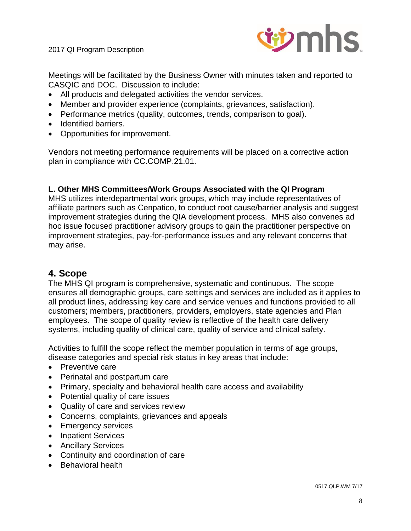

Meetings will be facilitated by the Business Owner with minutes taken and reported to CASQIC and DOC. Discussion to include:

- All products and delegated activities the vendor services.
- Member and provider experience (complaints, grievances, satisfaction).
- Performance metrics (quality, outcomes, trends, comparison to goal).
- Identified barriers.
- Opportunities for improvement.

Vendors not meeting performance requirements will be placed on a corrective action plan in compliance with CC.COMP.21.01.

#### **L. Other MHS Committees/Work Groups Associated with the QI Program**

MHS utilizes interdepartmental work groups, which may include representatives of affiliate partners such as Cenpatico, to conduct root cause/barrier analysis and suggest improvement strategies during the QIA development process. MHS also convenes ad hoc issue focused practitioner advisory groups to gain the practitioner perspective on improvement strategies, pay-for-performance issues and any relevant concerns that may arise.

## **4. Scope**

The MHS QI program is comprehensive, systematic and continuous. The scope ensures all demographic groups, care settings and services are included as it applies to all product lines, addressing key care and service venues and functions provided to all customers; members, practitioners, providers, employers, state agencies and Plan employees. The scope of quality review is reflective of the health care delivery systems, including quality of clinical care, quality of service and clinical safety.

Activities to fulfill the scope reflect the member population in terms of age groups, disease categories and special risk status in key areas that include:

- Preventive care
- Perinatal and postpartum care
- Primary, specialty and behavioral health care access and availability
- Potential quality of care issues
- Quality of care and services review
- Concerns, complaints, grievances and appeals
- Emergency services
- Inpatient Services
- Ancillary Services
- Continuity and coordination of care
- Behavioral health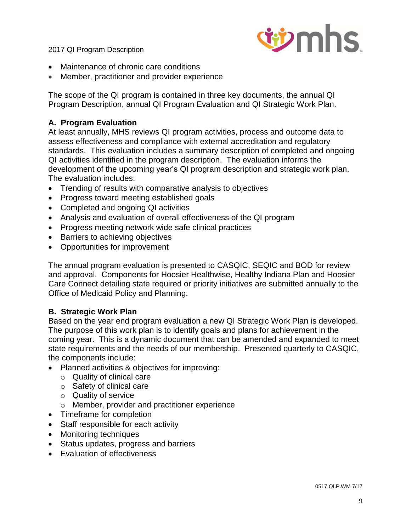

- Maintenance of chronic care conditions
- Member, practitioner and provider experience

The scope of the QI program is contained in three key documents, the annual QI Program Description, annual QI Program Evaluation and QI Strategic Work Plan.

#### **A. Program Evaluation**

At least annually, MHS reviews QI program activities, process and outcome data to assess effectiveness and compliance with external accreditation and regulatory standards. This evaluation includes a summary description of completed and ongoing QI activities identified in the program description. The evaluation informs the development of the upcoming year's QI program description and strategic work plan. The evaluation includes:

- Trending of results with comparative analysis to objectives
- Progress toward meeting established goals
- Completed and ongoing QI activities
- Analysis and evaluation of overall effectiveness of the QI program
- Progress meeting network wide safe clinical practices
- Barriers to achieving objectives
- Opportunities for improvement

The annual program evaluation is presented to CASQIC, SEQIC and BOD for review and approval. Components for Hoosier Healthwise, Healthy Indiana Plan and Hoosier Care Connect detailing state required or priority initiatives are submitted annually to the Office of Medicaid Policy and Planning.

## **B. Strategic Work Plan**

Based on the year end program evaluation a new QI Strategic Work Plan is developed. The purpose of this work plan is to identify goals and plans for achievement in the coming year. This is a dynamic document that can be amended and expanded to meet state requirements and the needs of our membership. Presented quarterly to CASQIC, the components include:

- Planned activities & objectives for improving:
	- o Quality of clinical care
	- o Safety of clinical care
	- o Quality of service
	- o Member, provider and practitioner experience
- Timeframe for completion
- Staff responsible for each activity
- Monitoring techniques
- Status updates, progress and barriers
- Evaluation of effectiveness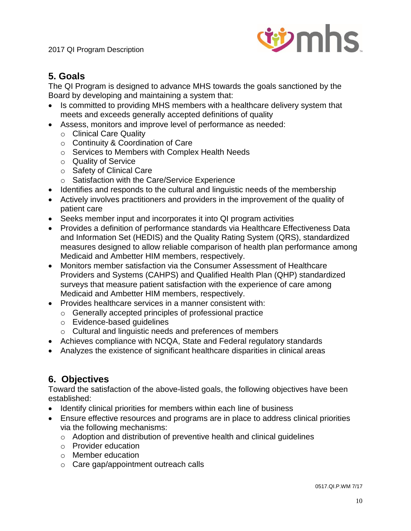

# **5. Goals**

The QI Program is designed to advance MHS towards the goals sanctioned by the Board by developing and maintaining a system that:

- Is committed to providing MHS members with a healthcare delivery system that meets and exceeds generally accepted definitions of quality
- Assess, monitors and improve level of performance as needed:
	- o Clinical Care Quality
	- o Continuity & Coordination of Care
	- o Services to Members with Complex Health Needs
	- o Quality of Service
	- o Safety of Clinical Care
	- o Satisfaction with the Care/Service Experience
- Identifies and responds to the cultural and linguistic needs of the membership
- Actively involves practitioners and providers in the improvement of the quality of patient care
- Seeks member input and incorporates it into QI program activities
- Provides a definition of performance standards via Healthcare Effectiveness Data and Information Set (HEDIS) and the Quality Rating System (QRS), standardized measures designed to allow reliable comparison of health plan performance among Medicaid and Ambetter HIM members, respectively.
- Monitors member satisfaction via the Consumer Assessment of Healthcare Providers and Systems (CAHPS) and Qualified Health Plan (QHP) standardized surveys that measure patient satisfaction with the experience of care among Medicaid and Ambetter HIM members, respectively.
- Provides healthcare services in a manner consistent with:
	- o Generally accepted principles of professional practice
	- o Evidence-based guidelines
	- o Cultural and linguistic needs and preferences of members
- Achieves compliance with NCQA, State and Federal regulatory standards
- Analyzes the existence of significant healthcare disparities in clinical areas

# **6. Objectives**

Toward the satisfaction of the above-listed goals, the following objectives have been established:

- Identify clinical priorities for members within each line of business
- Ensure effective resources and programs are in place to address clinical priorities via the following mechanisms:
	- o Adoption and distribution of preventive health and clinical guidelines
	- o Provider education
	- o Member education
	- o Care gap/appointment outreach calls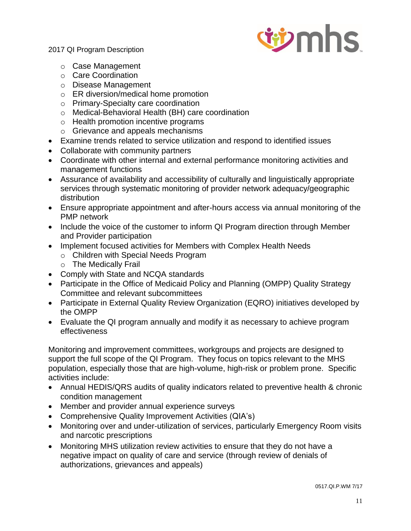

- o Case Management
- o Care Coordination
- o Disease Management
- o ER diversion/medical home promotion
- o Primary-Specialty care coordination
- o Medical-Behavioral Health (BH) care coordination
- o Health promotion incentive programs
- o Grievance and appeals mechanisms
- Examine trends related to service utilization and respond to identified issues
- Collaborate with community partners
- Coordinate with other internal and external performance monitoring activities and management functions
- Assurance of availability and accessibility of culturally and linguistically appropriate services through systematic monitoring of provider network adequacy/geographic distribution
- Ensure appropriate appointment and after-hours access via annual monitoring of the PMP network
- Include the voice of the customer to inform QI Program direction through Member and Provider participation
- Implement focused activities for Members with Complex Health Needs
	- o Children with Special Needs Program
	- o The Medically Frail
- Comply with State and NCQA standards
- Participate in the Office of Medicaid Policy and Planning (OMPP) Quality Strategy Committee and relevant subcommittees
- Participate in External Quality Review Organization (EQRO) initiatives developed by the OMPP
- Evaluate the QI program annually and modify it as necessary to achieve program effectiveness

Monitoring and improvement committees, workgroups and projects are designed to support the full scope of the QI Program. They focus on topics relevant to the MHS population, especially those that are high-volume, high-risk or problem prone. Specific activities include:

- Annual HEDIS/QRS audits of quality indicators related to preventive health & chronic condition management
- Member and provider annual experience surveys
- Comprehensive Quality Improvement Activities (QIA's)
- Monitoring over and under-utilization of services, particularly Emergency Room visits and narcotic prescriptions
- Monitoring MHS utilization review activities to ensure that they do not have a negative impact on quality of care and service (through review of denials of authorizations, grievances and appeals)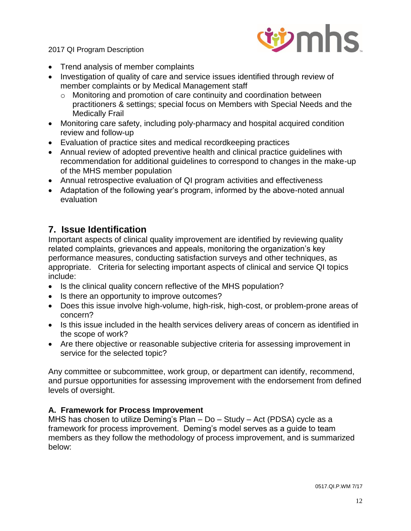

- Trend analysis of member complaints
- Investigation of quality of care and service issues identified through review of member complaints or by Medical Management staff
	- o Monitoring and promotion of care continuity and coordination between practitioners & settings; special focus on Members with Special Needs and the Medically Frail
- Monitoring care safety, including poly-pharmacy and hospital acquired condition review and follow-up
- Evaluation of practice sites and medical recordkeeping practices
- Annual review of adopted preventive health and clinical practice guidelines with recommendation for additional guidelines to correspond to changes in the make-up of the MHS member population
- Annual retrospective evaluation of QI program activities and effectiveness
- Adaptation of the following year's program, informed by the above-noted annual evaluation

# **7. Issue Identification**

Important aspects of clinical quality improvement are identified by reviewing quality related complaints, grievances and appeals, monitoring the organization's key performance measures, conducting satisfaction surveys and other techniques, as appropriate. Criteria for selecting important aspects of clinical and service QI topics include:

- Is the clinical quality concern reflective of the MHS population?
- Is there an opportunity to improve outcomes?
- Does this issue involve high-volume, high-risk, high-cost, or problem-prone areas of concern?
- Is this issue included in the health services delivery areas of concern as identified in the scope of work?
- Are there objective or reasonable subjective criteria for assessing improvement in service for the selected topic?

Any committee or subcommittee, work group, or department can identify, recommend, and pursue opportunities for assessing improvement with the endorsement from defined levels of oversight.

## **A. Framework for Process Improvement**

MHS has chosen to utilize Deming's Plan – Do – Study – Act (PDSA) cycle as a framework for process improvement. Deming's model serves as a guide to team members as they follow the methodology of process improvement, and is summarized below: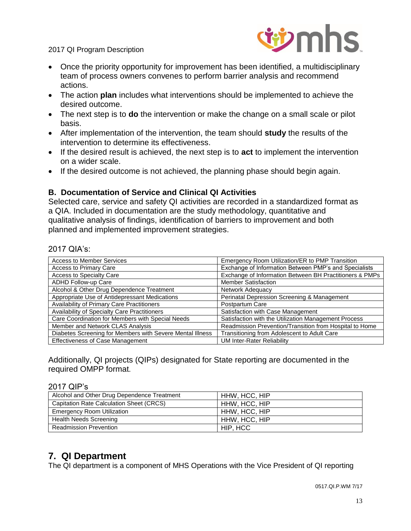

- Once the priority opportunity for improvement has been identified, a multidisciplinary team of process owners convenes to perform barrier analysis and recommend actions.
- The action **plan** includes what interventions should be implemented to achieve the desired outcome.
- The next step is to **do** the intervention or make the change on a small scale or pilot basis.
- After implementation of the intervention, the team should **study** the results of the intervention to determine its effectiveness.
- If the desired result is achieved, the next step is to **act** to implement the intervention on a wider scale.
- If the desired outcome is not achieved, the planning phase should begin again.

## **B. Documentation of Service and Clinical QI Activities**

Selected care, service and safety QI activities are recorded in a standardized format as a QIA. Included in documentation are the study methodology, quantitative and qualitative analysis of findings, identification of barriers to improvement and both planned and implemented improvement strategies.

#### 2017 QIA's:

| <b>Access to Member Services</b>                          | Emergency Room Utilization/ER to PMP Transition         |
|-----------------------------------------------------------|---------------------------------------------------------|
| Access to Primary Care                                    | Exchange of Information Between PMP's and Specialists   |
| Access to Specialty Care                                  | Exchange of Information Between BH Practitioners & PMPs |
| <b>ADHD Follow-up Care</b>                                | <b>Member Satisfaction</b>                              |
| Alcohol & Other Drug Dependence Treatment                 | Network Adequacy                                        |
| Appropriate Use of Antidepressant Medications             | Perinatal Depression Screening & Management             |
| Availability of Primary Care Practitioners                | Postpartum Care                                         |
| Availability of Specialty Care Practitioners              | Satisfaction with Case Management                       |
| Care Coordination for Members with Special Needs          | Satisfaction with the Utilization Management Process    |
| Member and Network CLAS Analysis                          | Readmission Prevention/Transition from Hospital to Home |
| Diabetes Screening for Members with Severe Mental Illness | Transitioning from Adolescent to Adult Care             |
| Effectiveness of Case Management                          | <b>UM Inter-Rater Reliability</b>                       |

Additionally, QI projects (QIPs) designated for State reporting are documented in the required OMPP format.

#### 2017 QIP's

| Alcohol and Other Drug Dependence Treatment | HHW. HCC. HIP |
|---------------------------------------------|---------------|
| Capitation Rate Calculation Sheet (CRCS)    | HHW, HCC, HIP |
| <b>Emergency Room Utilization</b>           | HHW. HCC. HIP |
| <b>Health Needs Screening</b>               | HHW, HCC, HIP |
| <b>Readmission Prevention</b>               | HIP, HCC      |

# **7. QI Department**

The QI department is a component of MHS Operations with the Vice President of QI reporting

0517.QI.P.WM 7/17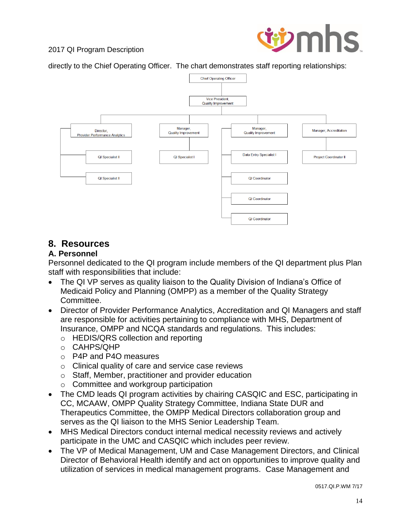

directly to the Chief Operating Officer. The chart demonstrates staff reporting relationships:



# **8. Resources**

#### **A. Personnel**

Personnel dedicated to the QI program include members of the QI department plus Plan staff with responsibilities that include:

- The QI VP serves as quality liaison to the Quality Division of Indiana's Office of Medicaid Policy and Planning (OMPP) as a member of the Quality Strategy Committee.
- Director of Provider Performance Analytics, Accreditation and QI Managers and staff are responsible for activities pertaining to compliance with MHS, Department of Insurance, OMPP and NCQA standards and regulations. This includes:
	- o HEDIS/QRS collection and reporting
	- o CAHPS/QHP
	- $\circ$  P4P and P4O measures
	- o Clinical quality of care and service case reviews
	- o Staff, Member, practitioner and provider education
	- o Committee and workgroup participation
- The CMD leads QI program activities by chairing CASQIC and ESC, participating in CC, MCAAW, OMPP Quality Strategy Committee, Indiana State DUR and Therapeutics Committee, the OMPP Medical Directors collaboration group and serves as the QI liaison to the MHS Senior Leadership Team.
- MHS Medical Directors conduct internal medical necessity reviews and actively participate in the UMC and CASQIC which includes peer review.
- The VP of Medical Management, UM and Case Management Directors, and Clinical Director of Behavioral Health identify and act on opportunities to improve quality and utilization of services in medical management programs. Case Management and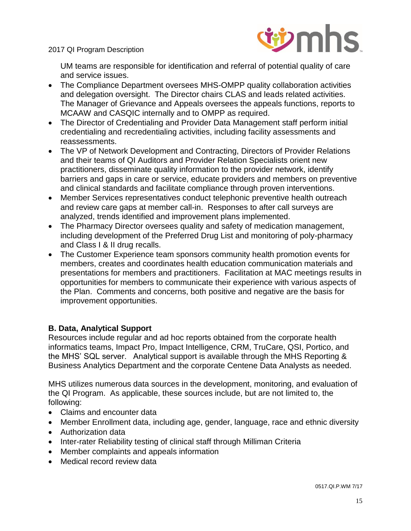

UM teams are responsible for identification and referral of potential quality of care and service issues.

- The Compliance Department oversees MHS-OMPP quality collaboration activities and delegation oversight. The Director chairs CLAS and leads related activities. The Manager of Grievance and Appeals oversees the appeals functions, reports to MCAAW and CASQIC internally and to OMPP as required.
- The Director of Credentialing and Provider Data Management staff perform initial credentialing and recredentialing activities, including facility assessments and reassessments.
- The VP of Network Development and Contracting, Directors of Provider Relations and their teams of QI Auditors and Provider Relation Specialists orient new practitioners, disseminate quality information to the provider network, identify barriers and gaps in care or service, educate providers and members on preventive and clinical standards and facilitate compliance through proven interventions.
- Member Services representatives conduct telephonic preventive health outreach and review care gaps at member call-in. Responses to after call surveys are analyzed, trends identified and improvement plans implemented.
- The Pharmacy Director oversees quality and safety of medication management, including development of the Preferred Drug List and monitoring of poly-pharmacy and Class I & II drug recalls.
- The Customer Experience team sponsors community health promotion events for members, creates and coordinates health education communication materials and presentations for members and practitioners. Facilitation at MAC meetings results in opportunities for members to communicate their experience with various aspects of the Plan. Comments and concerns, both positive and negative are the basis for improvement opportunities.

## **B. Data, Analytical Support**

Resources include regular and ad hoc reports obtained from the corporate health informatics teams, Impact Pro, Impact Intelligence, CRM, TruCare, QSI, Portico, and the MHS' SQL server. Analytical support is available through the MHS Reporting & Business Analytics Department and the corporate Centene Data Analysts as needed.

MHS utilizes numerous data sources in the development, monitoring, and evaluation of the QI Program. As applicable, these sources include, but are not limited to, the following:

- Claims and encounter data
- Member Enrollment data, including age, gender, language, race and ethnic diversity
- Authorization data
- Inter-rater Reliability testing of clinical staff through Milliman Criteria
- Member complaints and appeals information
- Medical record review data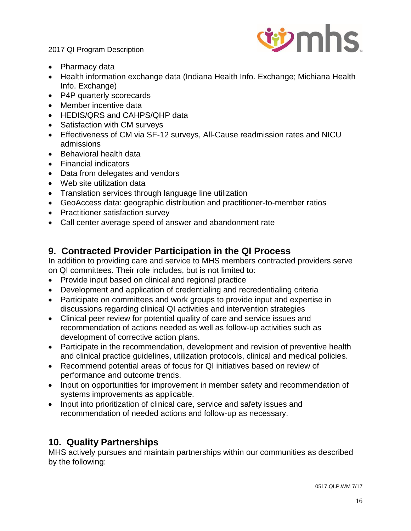

- Pharmacy data
- Health information exchange data (Indiana Health Info. Exchange; Michiana Health Info. Exchange)
- P4P quarterly scorecards
- Member incentive data
- HEDIS/QRS and CAHPS/QHP data
- Satisfaction with CM surveys
- Effectiveness of CM via SF-12 surveys, All-Cause readmission rates and NICU admissions
- Behavioral health data
- Financial indicators
- Data from delegates and vendors
- Web site utilization data
- Translation services through language line utilization
- GeoAccess data: geographic distribution and practitioner-to-member ratios
- Practitioner satisfaction survey
- Call center average speed of answer and abandonment rate

# **9. Contracted Provider Participation in the QI Process**

In addition to providing care and service to MHS members contracted providers serve on QI committees. Their role includes, but is not limited to:

- Provide input based on clinical and regional practice
- Development and application of credentialing and recredentialing criteria
- Participate on committees and work groups to provide input and expertise in discussions regarding clinical QI activities and intervention strategies
- Clinical peer review for potential quality of care and service issues and recommendation of actions needed as well as follow-up activities such as development of corrective action plans.
- Participate in the recommendation, development and revision of preventive health and clinical practice guidelines, utilization protocols, clinical and medical policies.
- Recommend potential areas of focus for QI initiatives based on review of performance and outcome trends.
- Input on opportunities for improvement in member safety and recommendation of systems improvements as applicable.
- Input into prioritization of clinical care, service and safety issues and recommendation of needed actions and follow-up as necessary.

# **10. Quality Partnerships**

MHS actively pursues and maintain partnerships within our communities as described by the following: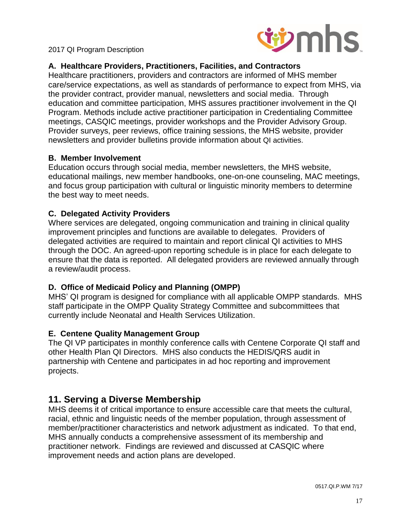

## **A. Healthcare Providers, Practitioners, Facilities, and Contractors**

Healthcare practitioners, providers and contractors are informed of MHS member care/service expectations, as well as standards of performance to expect from MHS, via the provider contract, provider manual, newsletters and social media. Through education and committee participation, MHS assures practitioner involvement in the QI Program. Methods include active practitioner participation in Credentialing Committee meetings, CASQIC meetings, provider workshops and the Provider Advisory Group. Provider surveys, peer reviews, office training sessions, the MHS website, provider newsletters and provider bulletins provide information about QI activities.

#### **B. Member Involvement**

Education occurs through social media, member newsletters, the MHS website, educational mailings, new member handbooks, one-on-one counseling, MAC meetings, and focus group participation with cultural or linguistic minority members to determine the best way to meet needs.

## **C. Delegated Activity Providers**

Where services are delegated, ongoing communication and training in clinical quality improvement principles and functions are available to delegates. Providers of delegated activities are required to maintain and report clinical QI activities to MHS through the DOC. An agreed-upon reporting schedule is in place for each delegate to ensure that the data is reported. All delegated providers are reviewed annually through a review/audit process.

## **D. Office of Medicaid Policy and Planning (OMPP)**

MHS' QI program is designed for compliance with all applicable OMPP standards. MHS staff participate in the OMPP Quality Strategy Committee and subcommittees that currently include Neonatal and Health Services Utilization.

## **E. Centene Quality Management Group**

The QI VP participates in monthly conference calls with Centene Corporate QI staff and other Health Plan QI Directors. MHS also conducts the HEDIS/QRS audit in partnership with Centene and participates in ad hoc reporting and improvement projects.

# **11. Serving a Diverse Membership**

MHS deems it of critical importance to ensure accessible care that meets the cultural, racial, ethnic and linguistic needs of the member population, through assessment of member/practitioner characteristics and network adjustment as indicated. To that end, MHS annually conducts a comprehensive assessment of its membership and practitioner network. Findings are reviewed and discussed at CASQIC where improvement needs and action plans are developed.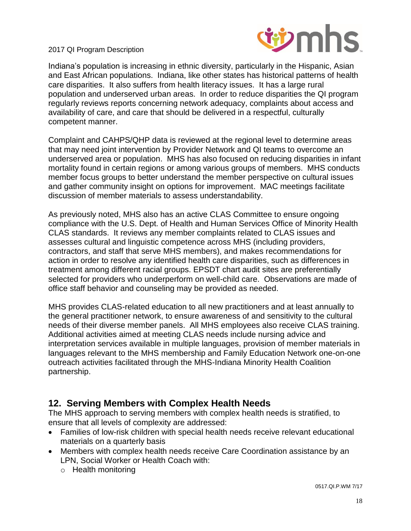

Indiana's population is increasing in ethnic diversity, particularly in the Hispanic, Asian and East African populations. Indiana, like other states has historical patterns of health care disparities. It also suffers from health literacy issues. It has a large rural population and underserved urban areas. In order to reduce disparities the QI program regularly reviews reports concerning network adequacy, complaints about access and availability of care, and care that should be delivered in a respectful, culturally competent manner.

Complaint and CAHPS/QHP data is reviewed at the regional level to determine areas that may need joint intervention by Provider Network and QI teams to overcome an underserved area or population. MHS has also focused on reducing disparities in infant mortality found in certain regions or among various groups of members. MHS conducts member focus groups to better understand the member perspective on cultural issues and gather community insight on options for improvement. MAC meetings facilitate discussion of member materials to assess understandability.

As previously noted, MHS also has an active CLAS Committee to ensure ongoing compliance with the U.S. Dept. of Health and Human Services Office of Minority Health CLAS standards. It reviews any member complaints related to CLAS issues and assesses cultural and linguistic competence across MHS (including providers, contractors, and staff that serve MHS members), and makes recommendations for action in order to resolve any identified health care disparities, such as differences in treatment among different racial groups. EPSDT chart audit sites are preferentially selected for providers who underperform on well-child care. Observations are made of office staff behavior and counseling may be provided as needed.

MHS provides CLAS-related education to all new practitioners and at least annually to the general practitioner network, to ensure awareness of and sensitivity to the cultural needs of their diverse member panels. All MHS employees also receive CLAS training. Additional activities aimed at meeting CLAS needs include nursing advice and interpretation services available in multiple languages, provision of member materials in languages relevant to the MHS membership and Family Education Network one-on-one outreach activities facilitated through the MHS-Indiana Minority Health Coalition partnership.

## **12. Serving Members with Complex Health Needs**

The MHS approach to serving members with complex health needs is stratified, to ensure that all levels of complexity are addressed:

- Families of low-risk children with special health needs receive relevant educational materials on a quarterly basis
- Members with complex health needs receive Care Coordination assistance by an LPN, Social Worker or Health Coach with:
	- o Health monitoring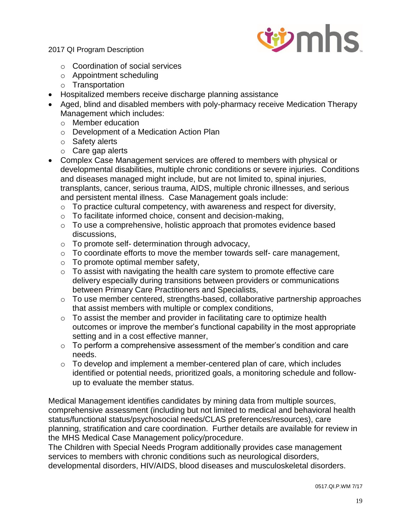

- o Coordination of social services
- o Appointment scheduling
- o Transportation
- Hospitalized members receive discharge planning assistance
- Aged, blind and disabled members with poly-pharmacy receive Medication Therapy Management which includes:
	- o Member education
	- o Development of a Medication Action Plan
	- o Safety alerts
	- o Care gap alerts
- Complex Case Management services are offered to members with physical or developmental disabilities, multiple chronic conditions or severe injuries. Conditions and diseases managed might include, but are not limited to, spinal injuries, transplants, cancer, serious trauma, AIDS, multiple chronic illnesses, and serious and persistent mental illness. Case Management goals include:
	- $\circ$  To practice cultural competency, with awareness and respect for diversity,
	- o To facilitate informed choice, consent and decision-making,
	- o To use a comprehensive, holistic approach that promotes evidence based discussions,
	- $\circ$  To promote self- determination through advocacy,
	- o To coordinate efforts to move the member towards self- care management,
	- $\circ$  To promote optimal member safety,
	- o To assist with navigating the health care system to promote effective care delivery especially during transitions between providers or communications between Primary Care Practitioners and Specialists,
	- o To use member centered, strengths-based, collaborative partnership approaches that assist members with multiple or complex conditions,
	- $\circ$  To assist the member and provider in facilitating care to optimize health outcomes or improve the member's functional capability in the most appropriate setting and in a cost effective manner,
	- $\circ$  To perform a comprehensive assessment of the member's condition and care needs.
	- $\circ$  To develop and implement a member-centered plan of care, which includes identified or potential needs, prioritized goals, a monitoring schedule and followup to evaluate the member status.

Medical Management identifies candidates by mining data from multiple sources, comprehensive assessment (including but not limited to medical and behavioral health status/functional status/psychosocial needs/CLAS preferences/resources), care planning, stratification and care coordination. Further details are available for review in the MHS Medical Case Management policy/procedure.

The Children with Special Needs Program additionally provides case management services to members with chronic conditions such as neurological disorders, developmental disorders, HIV/AIDS, blood diseases and musculoskeletal disorders.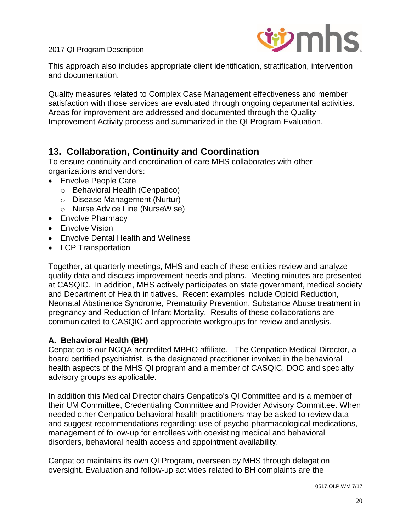

This approach also includes appropriate client identification, stratification, intervention and documentation.

Quality measures related to Complex Case Management effectiveness and member satisfaction with those services are evaluated through ongoing departmental activities. Areas for improvement are addressed and documented through the Quality Improvement Activity process and summarized in the QI Program Evaluation.

# **13. Collaboration, Continuity and Coordination**

To ensure continuity and coordination of care MHS collaborates with other organizations and vendors:

- Envolve People Care
	- o Behavioral Health (Cenpatico)
	- o Disease Management (Nurtur)
	- o Nurse Advice Line (NurseWise)
- Envolve Pharmacy
- **•** Envolve Vision
- Envolve Dental Health and Wellness
- LCP Transportation

Together, at quarterly meetings, MHS and each of these entities review and analyze quality data and discuss improvement needs and plans. Meeting minutes are presented at CASQIC. In addition, MHS actively participates on state government, medical society and Department of Health initiatives. Recent examples include Opioid Reduction, Neonatal Abstinence Syndrome, Prematurity Prevention, Substance Abuse treatment in pregnancy and Reduction of Infant Mortality. Results of these collaborations are communicated to CASQIC and appropriate workgroups for review and analysis.

## **A. Behavioral Health (BH)**

Cenpatico is our NCQA accredited MBHO affiliate. The Cenpatico Medical Director, a board certified psychiatrist, is the designated practitioner involved in the behavioral health aspects of the MHS QI program and a member of CASQIC, DOC and specialty advisory groups as applicable.

In addition this Medical Director chairs Cenpatico's QI Committee and is a member of their UM Committee, Credentialing Committee and Provider Advisory Committee. When needed other Cenpatico behavioral health practitioners may be asked to review data and suggest recommendations regarding: use of psycho-pharmacological medications, management of follow-up for enrollees with coexisting medical and behavioral disorders, behavioral health access and appointment availability.

Cenpatico maintains its own QI Program, overseen by MHS through delegation oversight. Evaluation and follow-up activities related to BH complaints are the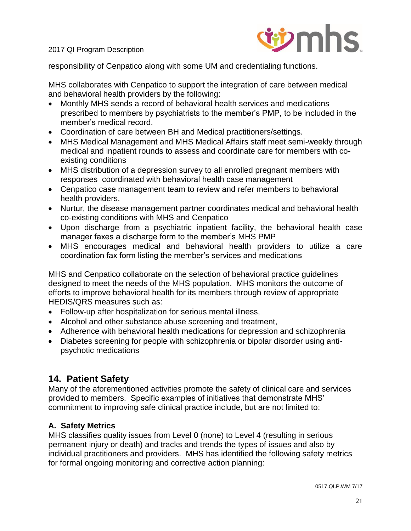

responsibility of Cenpatico along with some UM and credentialing functions.

MHS collaborates with Cenpatico to support the integration of care between medical and behavioral health providers by the following:

- Monthly MHS sends a record of behavioral health services and medications prescribed to members by psychiatrists to the member's PMP, to be included in the member's medical record.
- Coordination of care between BH and Medical practitioners/settings.
- MHS Medical Management and MHS Medical Affairs staff meet semi-weekly through medical and inpatient rounds to assess and coordinate care for members with coexisting conditions
- MHS distribution of a depression survey to all enrolled pregnant members with responses coordinated with behavioral health case management
- Cenpatico case management team to review and refer members to behavioral health providers.
- Nurtur, the disease management partner coordinates medical and behavioral health co-existing conditions with MHS and Cenpatico
- Upon discharge from a psychiatric inpatient facility, the behavioral health case manager faxes a discharge form to the member's MHS PMP
- MHS encourages medical and behavioral health providers to utilize a care coordination fax form listing the member's services and medications

MHS and Cenpatico collaborate on the selection of behavioral practice guidelines designed to meet the needs of the MHS population. MHS monitors the outcome of efforts to improve behavioral health for its members through review of appropriate HEDIS/QRS measures such as:

- Follow-up after hospitalization for serious mental illness,
- Alcohol and other substance abuse screening and treatment,
- Adherence with behavioral health medications for depression and schizophrenia
- Diabetes screening for people with schizophrenia or bipolar disorder using antipsychotic medications

# **14. Patient Safety**

Many of the aforementioned activities promote the safety of clinical care and services provided to members. Specific examples of initiatives that demonstrate MHS' commitment to improving safe clinical practice include, but are not limited to:

## **A. Safety Metrics**

MHS classifies quality issues from Level 0 (none) to Level 4 (resulting in serious permanent injury or death) and tracks and trends the types of issues and also by individual practitioners and providers. MHS has identified the following safety metrics for formal ongoing monitoring and corrective action planning: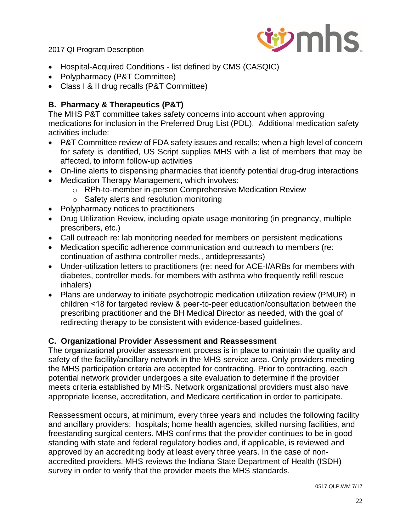

- Hospital-Acquired Conditions list defined by CMS (CASQIC)
- Polypharmacy (P&T Committee)
- Class I & II drug recalls (P&T Committee)

# **B. Pharmacy & Therapeutics (P&T)**

The MHS P&T committee takes safety concerns into account when approving medications for inclusion in the Preferred Drug List (PDL). Additional medication safety activities include:

- P&T Committee review of FDA safety issues and recalls; when a high level of concern for safety is identified, US Script supplies MHS with a list of members that may be affected, to inform follow-up activities
- On-line alerts to dispensing pharmacies that identify potential drug-drug interactions
- Medication Therapy Management, which involves:
	- o RPh-to-member in-person Comprehensive Medication Review
	- o Safety alerts and resolution monitoring
- Polypharmacy notices to practitioners
- Drug Utilization Review, including opiate usage monitoring (in pregnancy, multiple prescribers, etc.)
- Call outreach re: lab monitoring needed for members on persistent medications
- Medication specific adherence communication and outreach to members (re: continuation of asthma controller meds., antidepressants)
- Under-utilization letters to practitioners (re: need for ACE-I/ARBs for members with diabetes, controller meds. for members with asthma who frequently refill rescue inhalers)
- Plans are underway to initiate psychotropic medication utilization review (PMUR) in children ˂18 for targeted review & peer-to-peer education/consultation between the prescribing practitioner and the BH Medical Director as needed, with the goal of redirecting therapy to be consistent with evidence-based guidelines.

## **C. Organizational Provider Assessment and Reassessment**

The organizational provider assessment process is in place to maintain the quality and safety of the facility/ancillary network in the MHS service area. Only providers meeting the MHS participation criteria are accepted for contracting. Prior to contracting, each potential network provider undergoes a site evaluation to determine if the provider meets criteria established by MHS. Network organizational providers must also have appropriate license, accreditation, and Medicare certification in order to participate.

Reassessment occurs, at minimum, every three years and includes the following facility and ancillary providers: hospitals; home health agencies, skilled nursing facilities, and freestanding surgical centers. MHS confirms that the provider continues to be in good standing with state and federal regulatory bodies and, if applicable, is reviewed and approved by an accrediting body at least every three years. In the case of nonaccredited providers, MHS reviews the Indiana State Department of Health (ISDH) survey in order to verify that the provider meets the MHS standards.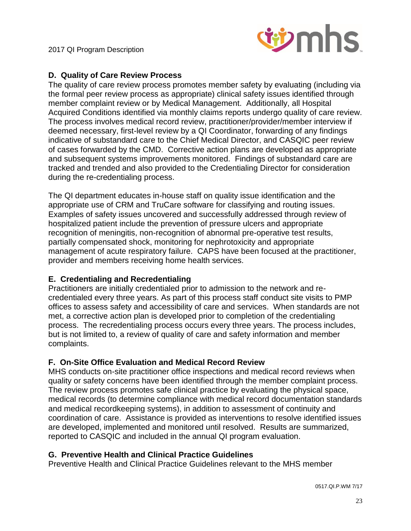

#### **D. Quality of Care Review Process**

The quality of care review process promotes member safety by evaluating (including via the formal peer review process as appropriate) clinical safety issues identified through member complaint review or by Medical Management. Additionally, all Hospital Acquired Conditions identified via monthly claims reports undergo quality of care review. The process involves medical record review, practitioner/provider/member interview if deemed necessary, first-level review by a QI Coordinator, forwarding of any findings indicative of substandard care to the Chief Medical Director, and CASQIC peer review of cases forwarded by the CMD. Corrective action plans are developed as appropriate and subsequent systems improvements monitored. Findings of substandard care are tracked and trended and also provided to the Credentialing Director for consideration during the re-credentialing process.

The QI department educates in-house staff on quality issue identification and the appropriate use of CRM and TruCare software for classifying and routing issues. Examples of safety issues uncovered and successfully addressed through review of hospitalized patient include the prevention of pressure ulcers and appropriate recognition of meningitis, non-recognition of abnormal pre-operative test results, partially compensated shock, monitoring for nephrotoxicity and appropriate management of acute respiratory failure. CAPS have been focused at the practitioner, provider and members receiving home health services.

## **E. Credentialing and Recredentialing**

Practitioners are initially credentialed prior to admission to the network and recredentialed every three years. As part of this process staff conduct site visits to PMP offices to assess safety and accessibility of care and services. When standards are not met, a corrective action plan is developed prior to completion of the credentialing process. The recredentialing process occurs every three years. The process includes, but is not limited to, a review of quality of care and safety information and member complaints.

## **F. On-Site Office Evaluation and Medical Record Review**

MHS conducts on-site practitioner office inspections and medical record reviews when quality or safety concerns have been identified through the member complaint process. The review process promotes safe clinical practice by evaluating the physical space, medical records (to determine compliance with medical record documentation standards and medical recordkeeping systems), in addition to assessment of continuity and coordination of care. Assistance is provided as interventions to resolve identified issues are developed, implemented and monitored until resolved. Results are summarized, reported to CASQIC and included in the annual QI program evaluation.

#### **G. Preventive Health and Clinical Practice Guidelines**

Preventive Health and Clinical Practice Guidelines relevant to the MHS member